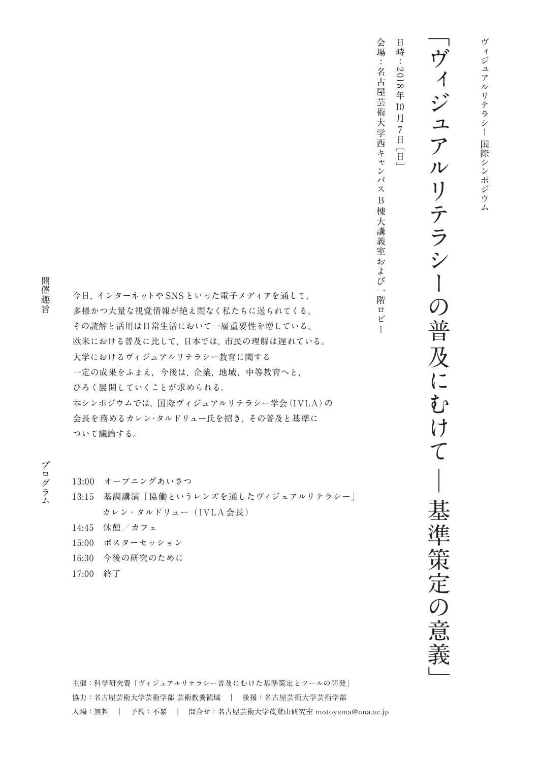## ヴィジュア  $\mathcal{V}$ リテラシーの普 及にむ 一  $\mathcal{C}$ 基準策定の意義

**日 時 : 2 018 年 月 7 日 10**

**会場:名古**

**ス B** 棟 一大講 義室 **お**  $\overline{\phantom{0}}$ 階  $\Box$ ビ  $\mathbf{I}$ 

**棟大講義室**

**多様かつ大量な視覚情報が絶え間なく私たちに送られてくる。 その読解と活用は日常生活において一層重要性を増している。 欧米における普及に比して,日本では,市民の理解は遅れている。 大学におけるヴィジュアルリテラシー教育に関する 一定の成果をふまえ,今後は,企業,地域,中等教育へと, ひろく展開していくことが求められる。 本シンポジウムでは,国際ヴィジュアルリテラシー学会(IVLA)の 会長を務めるカレン・タルドリュー氏を招き,その普及と基準に**

**ついて議論する。**

# **プログラム開催趣旨** プログラム

開 催

趣

旨

**13:00 オープニングあいさつ 13:15 基調講演「協働というレンズを通したヴィジュアルリテラシー」 カレン・タルドリュー( IVLA 会長)**

**今日,インターネットや SNS といった電子メディアを通して,**

- **14:45 休憩/カフェ**
- **15:00 ポスターセッション**
- **16:30 今後の研究のために**
- **17:00 終了**

**主催:科学研究費「ヴィジュアルリテラシー普及にむけた基準策定とツールの開発」 協力:名古屋芸術大学芸術学部 芸術教養領域 | 後援:名古屋芸術大学芸術学部 入場:無料 | 予約:不要 | 問合せ:名古屋芸術大学茂登山研究室 motoyama@nua.ac.jp**